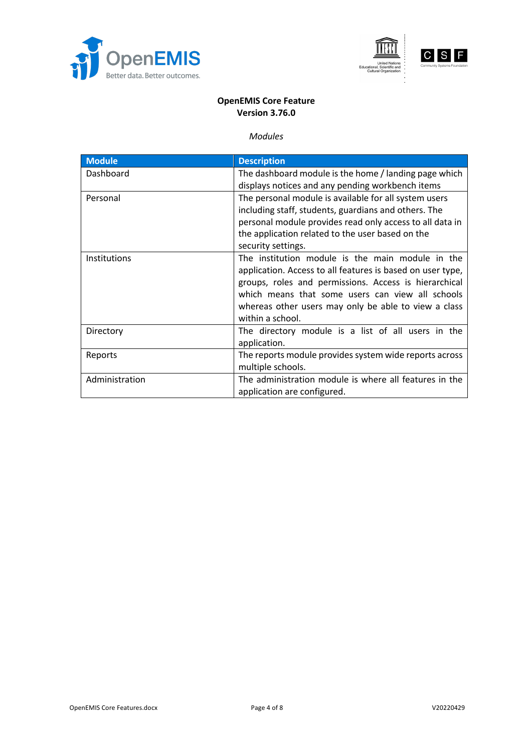





## **OpenEMIS Core Feature Version 3.76.0**

### *Modules*

| <b>Module</b>       | <b>Description</b>                                                                                                                                                                                                                                                                                      |
|---------------------|---------------------------------------------------------------------------------------------------------------------------------------------------------------------------------------------------------------------------------------------------------------------------------------------------------|
| Dashboard           | The dashboard module is the home / landing page which<br>displays notices and any pending workbench items                                                                                                                                                                                               |
| Personal            | The personal module is available for all system users<br>including staff, students, guardians and others. The<br>personal module provides read only access to all data in<br>the application related to the user based on the<br>security settings.                                                     |
| <b>Institutions</b> | The institution module is the main module in the<br>application. Access to all features is based on user type,<br>groups, roles and permissions. Access is hierarchical<br>which means that some users can view all schools<br>whereas other users may only be able to view a class<br>within a school. |
| Directory           | The directory module is a list of all users in the<br>application.                                                                                                                                                                                                                                      |
| Reports             | The reports module provides system wide reports across<br>multiple schools.                                                                                                                                                                                                                             |
| Administration      | The administration module is where all features in the<br>application are configured.                                                                                                                                                                                                                   |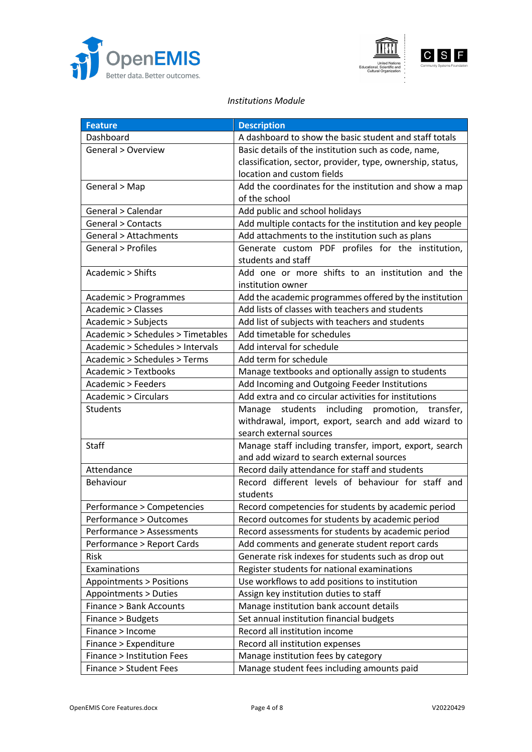



#### *Institutions Module*

| <b>Feature</b>                     | <b>Description</b>                                         |
|------------------------------------|------------------------------------------------------------|
| Dashboard                          | A dashboard to show the basic student and staff totals     |
| General > Overview                 | Basic details of the institution such as code, name,       |
|                                    | classification, sector, provider, type, ownership, status, |
|                                    | location and custom fields                                 |
| General > Map                      | Add the coordinates for the institution and show a map     |
|                                    | of the school                                              |
| General > Calendar                 | Add public and school holidays                             |
| General > Contacts                 | Add multiple contacts for the institution and key people   |
| General > Attachments              | Add attachments to the institution such as plans           |
| <b>General &gt; Profiles</b>       | Generate custom PDF profiles for the institution,          |
|                                    | students and staff                                         |
| Academic > Shifts                  | Add one or more shifts to an institution and the           |
|                                    | institution owner                                          |
| Academic > Programmes              | Add the academic programmes offered by the institution     |
| <b>Academic &gt; Classes</b>       | Add lists of classes with teachers and students            |
| Academic > Subjects                | Add list of subjects with teachers and students            |
| Academic > Schedules > Timetables  | Add timetable for schedules                                |
| Academic > Schedules > Intervals   | Add interval for schedule                                  |
| Academic > Schedules > Terms       | Add term for schedule                                      |
| <b>Academic &gt; Textbooks</b>     | Manage textbooks and optionally assign to students         |
| Academic > Feeders                 | Add Incoming and Outgoing Feeder Institutions              |
| <b>Academic &gt; Circulars</b>     | Add extra and co circular activities for institutions      |
| Students                           | students including promotion, transfer,<br>Manage          |
|                                    | withdrawal, import, export, search and add wizard to       |
|                                    | search external sources                                    |
| Staff                              | Manage staff including transfer, import, export, search    |
|                                    | and add wizard to search external sources                  |
| Attendance                         | Record daily attendance for staff and students             |
| Behaviour                          | Record different levels of behaviour for staff and         |
|                                    | students                                                   |
| Performance > Competencies         | Record competencies for students by academic period        |
| Performance > Outcomes             | Record outcomes for students by academic period            |
| Performance > Assessments          | Record assessments for students by academic period         |
| Performance > Report Cards         | Add comments and generate student report cards             |
| Risk                               | Generate risk indexes for students such as drop out        |
| Examinations                       | Register students for national examinations                |
| <b>Appointments &gt; Positions</b> | Use workflows to add positions to institution              |
| Appointments > Duties              | Assign key institution duties to staff                     |
| <b>Finance &gt; Bank Accounts</b>  | Manage institution bank account details                    |
| Finance > Budgets                  | Set annual institution financial budgets                   |
| Finance > Income                   | Record all institution income                              |
| Finance > Expenditure              | Record all institution expenses                            |
| Finance > Institution Fees         | Manage institution fees by category                        |
| <b>Finance &gt; Student Fees</b>   | Manage student fees including amounts paid                 |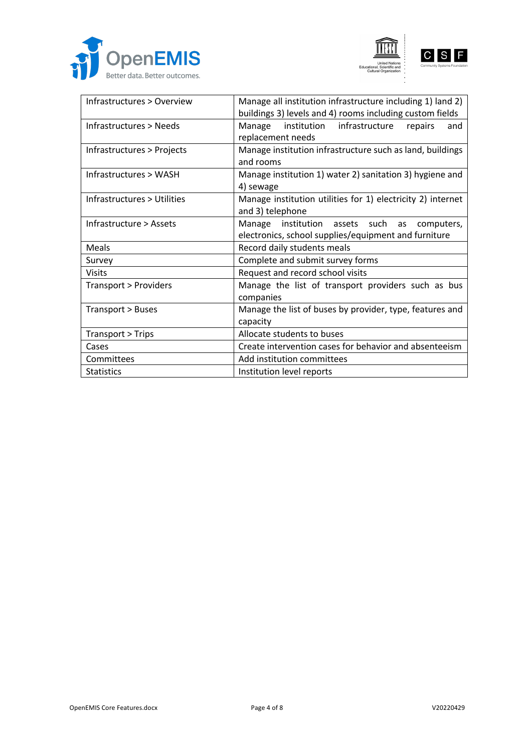





| Infrastructures > Overview  | Manage all institution infrastructure including 1) land 2)<br>buildings 3) levels and 4) rooms including custom fields |
|-----------------------------|------------------------------------------------------------------------------------------------------------------------|
| Infrastructures > Needs     | institution infrastructure<br>Manage<br>repairs<br>and<br>replacement needs                                            |
| Infrastructures > Projects  | Manage institution infrastructure such as land, buildings<br>and rooms                                                 |
| Infrastructures > WASH      | Manage institution 1) water 2) sanitation 3) hygiene and<br>4) sewage                                                  |
| Infrastructures > Utilities | Manage institution utilities for 1) electricity 2) internet<br>and 3) telephone                                        |
| Infrastructure > Assets     | Manage institution assets such<br>computers,<br>as<br>electronics, school supplies/equipment and furniture             |
| Meals                       | Record daily students meals                                                                                            |
| Survey                      | Complete and submit survey forms                                                                                       |
| <b>Visits</b>               | Request and record school visits                                                                                       |
| Transport > Providers       | Manage the list of transport providers such as bus<br>companies                                                        |
| Transport > Buses           | Manage the list of buses by provider, type, features and<br>capacity                                                   |
| Transport > Trips           | Allocate students to buses                                                                                             |
| Cases                       | Create intervention cases for behavior and absenteeism                                                                 |
| Committees                  | Add institution committees                                                                                             |
| <b>Statistics</b>           | Institution level reports                                                                                              |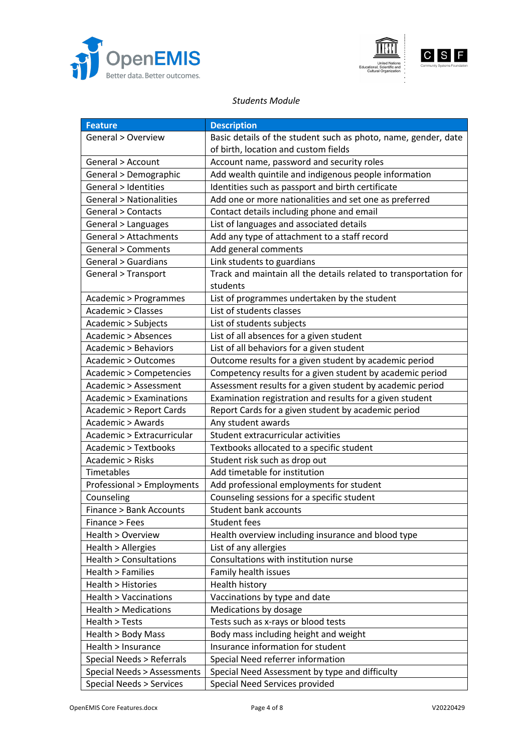





#### *Students Module*

| <b>Feature</b>                     | <b>Description</b>                                               |
|------------------------------------|------------------------------------------------------------------|
| General > Overview                 | Basic details of the student such as photo, name, gender, date   |
|                                    | of birth, location and custom fields                             |
| General > Account                  | Account name, password and security roles                        |
| General > Demographic              | Add wealth quintile and indigenous people information            |
| <b>General &gt; Identities</b>     | Identities such as passport and birth certificate                |
| <b>General &gt; Nationalities</b>  | Add one or more nationalities and set one as preferred           |
| General > Contacts                 | Contact details including phone and email                        |
| General > Languages                | List of languages and associated details                         |
| General > Attachments              | Add any type of attachment to a staff record                     |
| <b>General &gt; Comments</b>       | Add general comments                                             |
| <b>General &gt; Guardians</b>      | Link students to guardians                                       |
| General > Transport                | Track and maintain all the details related to transportation for |
|                                    | students                                                         |
| Academic > Programmes              | List of programmes undertaken by the student                     |
| Academic > Classes                 | List of students classes                                         |
| Academic > Subjects                | List of students subjects                                        |
| <b>Academic &gt; Absences</b>      | List of all absences for a given student                         |
| Academic > Behaviors               | List of all behaviors for a given student                        |
| Academic > Outcomes                | Outcome results for a given student by academic period           |
| Academic > Competencies            | Competency results for a given student by academic period        |
| Academic > Assessment              | Assessment results for a given student by academic period        |
| Academic > Examinations            | Examination registration and results for a given student         |
| <b>Academic &gt; Report Cards</b>  | Report Cards for a given student by academic period              |
| Academic > Awards                  | Any student awards                                               |
| Academic > Extracurricular         | Student extracurricular activities                               |
| Academic > Textbooks               | Textbooks allocated to a specific student                        |
| Academic > Risks                   | Student risk such as drop out                                    |
| Timetables                         | Add timetable for institution                                    |
| Professional > Employments         | Add professional employments for student                         |
| Counseling                         | Counseling sessions for a specific student                       |
| Finance > Bank Accounts            | <b>Student bank accounts</b>                                     |
| Finance > Fees                     | Student fees                                                     |
| Health > Overview                  | Health overview including insurance and blood type               |
| Health > Allergies                 | List of any allergies                                            |
| Health > Consultations             | Consultations with institution nurse                             |
| Health > Families                  | Family health issues                                             |
| Health > Histories                 | Health history                                                   |
| <b>Health &gt; Vaccinations</b>    | Vaccinations by type and date                                    |
| Health > Medications               | Medications by dosage                                            |
| Health > Tests                     | Tests such as x-rays or blood tests                              |
| Health > Body Mass                 | Body mass including height and weight                            |
| Health > Insurance                 | Insurance information for student                                |
| Special Needs > Referrals          | Special Need referrer information                                |
| Special Needs > Assessments        | Special Need Assessment by type and difficulty                   |
| <b>Special Needs &gt; Services</b> | Special Need Services provided                                   |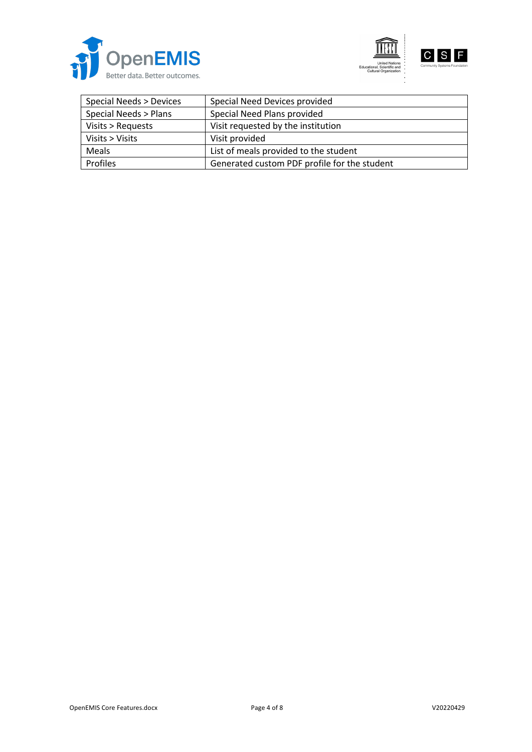





| Special Needs > Devices | Special Need Devices provided                |
|-------------------------|----------------------------------------------|
| Special Needs > Plans   | Special Need Plans provided                  |
| Visits > Requests       | Visit requested by the institution           |
| Visits $>$ Visits       | Visit provided                               |
| Meals                   | List of meals provided to the student        |
| <b>Profiles</b>         | Generated custom PDF profile for the student |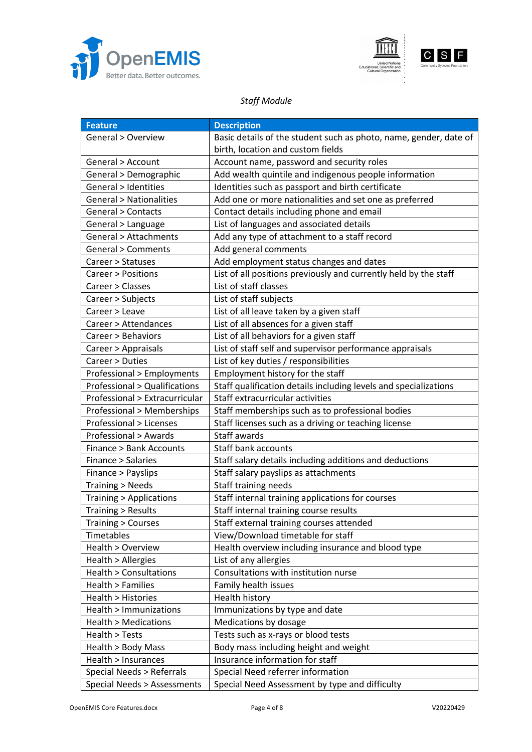



# *Staff Module*

| <b>Feature</b>                          | <b>Description</b>                                                |
|-----------------------------------------|-------------------------------------------------------------------|
| General > Overview                      | Basic details of the student such as photo, name, gender, date of |
|                                         | birth, location and custom fields                                 |
| General > Account                       | Account name, password and security roles                         |
| General > Demographic                   | Add wealth quintile and indigenous people information             |
| <b>General &gt; Identities</b>          | Identities such as passport and birth certificate                 |
| <b>General &gt; Nationalities</b>       | Add one or more nationalities and set one as preferred            |
| <b>General &gt; Contacts</b>            | Contact details including phone and email                         |
| General > Language                      | List of languages and associated details                          |
| General > Attachments                   | Add any type of attachment to a staff record                      |
| <b>General &gt; Comments</b>            | Add general comments                                              |
| Career > Statuses                       | Add employment status changes and dates                           |
| Career > Positions                      | List of all positions previously and currently held by the staff  |
| Career > Classes                        | List of staff classes                                             |
| Career > Subjects                       | List of staff subjects                                            |
| Career > Leave                          | List of all leave taken by a given staff                          |
| Career > Attendances                    | List of all absences for a given staff                            |
| Career > Behaviors                      | List of all behaviors for a given staff                           |
| Career > Appraisals                     | List of staff self and supervisor performance appraisals          |
| Career > Duties                         | List of key duties / responsibilities                             |
| <b>Professional &gt; Employments</b>    | Employment history for the staff                                  |
| <b>Professional &gt; Qualifications</b> | Staff qualification details including levels and specializations  |
| Professional > Extracurricular          | Staff extracurricular activities                                  |
| <b>Professional &gt; Memberships</b>    | Staff memberships such as to professional bodies                  |
| Professional > Licenses                 | Staff licenses such as a driving or teaching license              |
| Professional > Awards                   | Staff awards                                                      |
| Finance > Bank Accounts                 | <b>Staff bank accounts</b>                                        |
| Finance > Salaries                      | Staff salary details including additions and deductions           |
| Finance > Payslips                      | Staff salary payslips as attachments                              |
| <b>Training &gt; Needs</b>              | Staff training needs                                              |
| <b>Training &gt; Applications</b>       | Staff internal training applications for courses                  |
| Training > Results                      | Staff internal training course results                            |
| <b>Training &gt; Courses</b>            | Staff external training courses attended                          |
| Timetables                              | View/Download timetable for staff                                 |
| Health > Overview                       | Health overview including insurance and blood type                |
| Health > Allergies                      | List of any allergies                                             |
| Health > Consultations                  | Consultations with institution nurse                              |
| Health > Families                       | Family health issues                                              |
| Health > Histories                      | Health history                                                    |
| Health > Immunizations                  | Immunizations by type and date                                    |
| <b>Health &gt; Medications</b>          | Medications by dosage                                             |
| Health > Tests                          | Tests such as x-rays or blood tests                               |
| Health > Body Mass                      | Body mass including height and weight                             |
| Health > Insurances                     | Insurance information for staff                                   |
| Special Needs > Referrals               | Special Need referrer information                                 |
| Special Needs > Assessments             | Special Need Assessment by type and difficulty                    |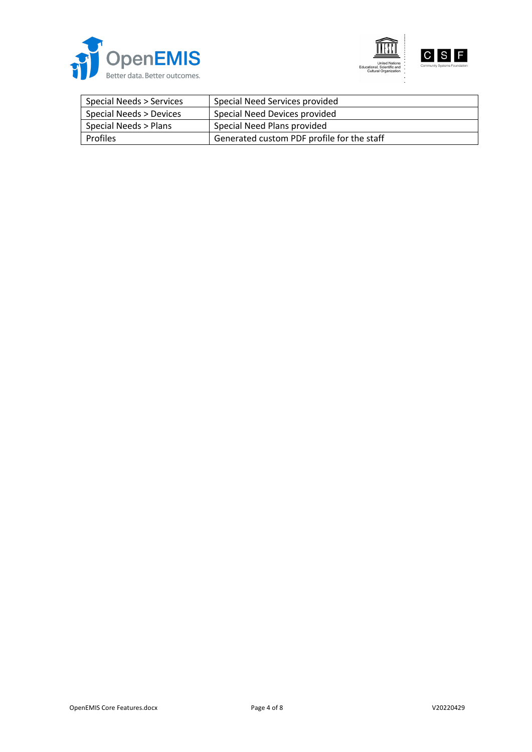





| Special Needs > Services | Special Need Services provided             |
|--------------------------|--------------------------------------------|
| Special Needs > Devices  | Special Need Devices provided              |
| Special Needs > Plans    | Special Need Plans provided                |
| <b>Profiles</b>          | Generated custom PDF profile for the staff |